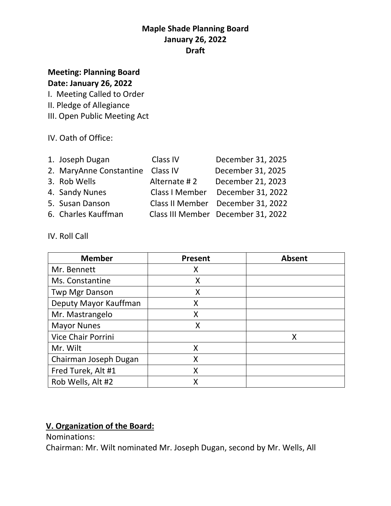# **Meeting: Planning Board**

# **Date: January 26, 2022**

I. Meeting Called to Order

- II. Pledge of Allegiance
- III. Open Public Meeting Act

IV. Oath of Office:

| 1. Joseph Dugan                  | Class IV     | December 31, 2025                  |
|----------------------------------|--------------|------------------------------------|
| 2. MaryAnne Constantine Class IV |              | December 31, 2025                  |
| 3. Rob Wells                     | Alternate #2 | December 21, 2023                  |
| 4. Sandy Nunes                   |              | Class I Member December 31, 2022   |
| 5. Susan Danson                  |              | Class II Member December 31, 2022  |
| 6. Charles Kauffman              |              | Class III Member December 31, 2022 |

## IV. Roll Call

| <b>Member</b>         | <b>Present</b> | <b>Absent</b> |
|-----------------------|----------------|---------------|
| Mr. Bennett           | Χ              |               |
| Ms. Constantine       | X              |               |
| <b>Twp Mgr Danson</b> | X              |               |
| Deputy Mayor Kauffman | X              |               |
| Mr. Mastrangelo       | X              |               |
| <b>Mayor Nunes</b>    | X              |               |
| Vice Chair Porrini    |                | X             |
| Mr. Wilt              | X              |               |
| Chairman Joseph Dugan | X              |               |
| Fred Turek, Alt #1    | X              |               |
| Rob Wells, Alt #2     |                |               |

# **V. Organization of the Board:**

Nominations:

Chairman: Mr. Wilt nominated Mr. Joseph Dugan, second by Mr. Wells, All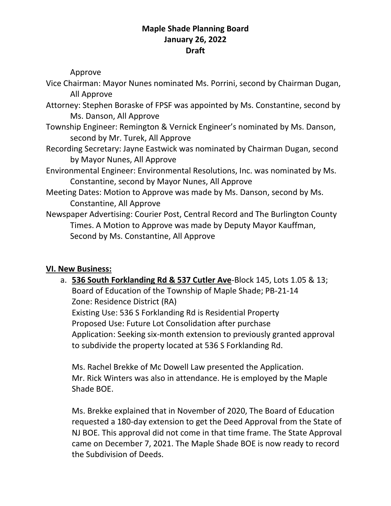#### Approve

- Vice Chairman: Mayor Nunes nominated Ms. Porrini, second by Chairman Dugan, All Approve
- Attorney: Stephen Boraske of FPSF was appointed by Ms. Constantine, second by Ms. Danson, All Approve
- Township Engineer: Remington & Vernick Engineer's nominated by Ms. Danson, second by Mr. Turek, All Approve
- Recording Secretary: Jayne Eastwick was nominated by Chairman Dugan, second by Mayor Nunes, All Approve
- Environmental Engineer: Environmental Resolutions, Inc. was nominated by Ms. Constantine, second by Mayor Nunes, All Approve
- Meeting Dates: Motion to Approve was made by Ms. Danson, second by Ms. Constantine, All Approve
- Newspaper Advertising: Courier Post, Central Record and The Burlington County Times. A Motion to Approve was made by Deputy Mayor Kauffman, Second by Ms. Constantine, All Approve

## **VI. New Business:**

a. **536 South Forklanding Rd & 537 Cutler Ave**-Block 145, Lots 1.05 & 13; Board of Education of the Township of Maple Shade; PB-21-14 Zone: Residence District (RA) Existing Use: 536 S Forklanding Rd is Residential Property Proposed Use: Future Lot Consolidation after purchase Application: Seeking six-month extension to previously granted approval to subdivide the property located at 536 S Forklanding Rd.

Ms. Rachel Brekke of Mc Dowell Law presented the Application. Mr. Rick Winters was also in attendance. He is employed by the Maple Shade BOE.

Ms. Brekke explained that in November of 2020, The Board of Education requested a 180-day extension to get the Deed Approval from the State of NJ BOE. This approval did not come in that time frame. The State Approval came on December 7, 2021. The Maple Shade BOE is now ready to record the Subdivision of Deeds.